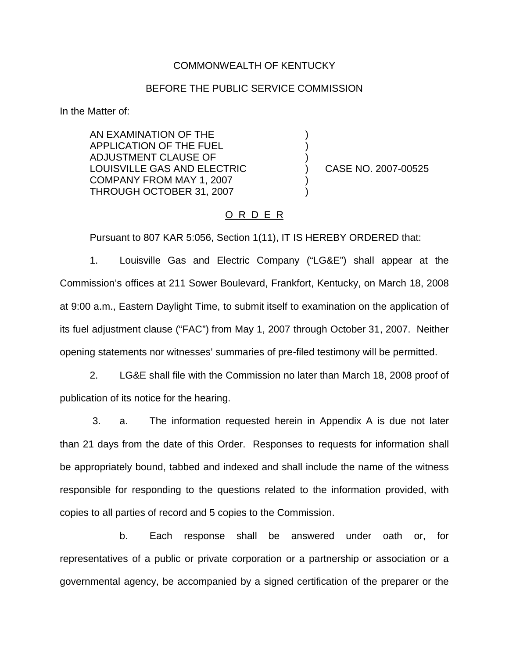### COMMONWEALTH OF KENTUCKY

#### BEFORE THE PUBLIC SERVICE COMMISSION

) ) )

) )

In the Matter of:

AN EXAMINATION OF THE APPLICATION OF THE FUEL ADJUSTMENT CLAUSE OF LOUISVILLE GAS AND ELECTRIC COMPANY FROM MAY 1, 2007 THROUGH OCTOBER 31, 2007

) CASE NO. 2007-00525

# O R D E R

Pursuant to 807 KAR 5:056, Section 1(11), IT IS HEREBY ORDERED that:

1. Louisville Gas and Electric Company ("LG&E") shall appear at the Commission's offices at 211 Sower Boulevard, Frankfort, Kentucky, on March 18, 2008 at 9:00 a.m., Eastern Daylight Time, to submit itself to examination on the application of its fuel adjustment clause ("FAC") from May 1, 2007 through October 31, 2007. Neither opening statements nor witnesses' summaries of pre-filed testimony will be permitted.

2. LG&E shall file with the Commission no later than March 18, 2008 proof of publication of its notice for the hearing.

3. a. The information requested herein in Appendix A is due not later than 21 days from the date of this Order. Responses to requests for information shall be appropriately bound, tabbed and indexed and shall include the name of the witness responsible for responding to the questions related to the information provided, with copies to all parties of record and 5 copies to the Commission.

b. Each response shall be answered under oath or, for representatives of a public or private corporation or a partnership or association or a governmental agency, be accompanied by a signed certification of the preparer or the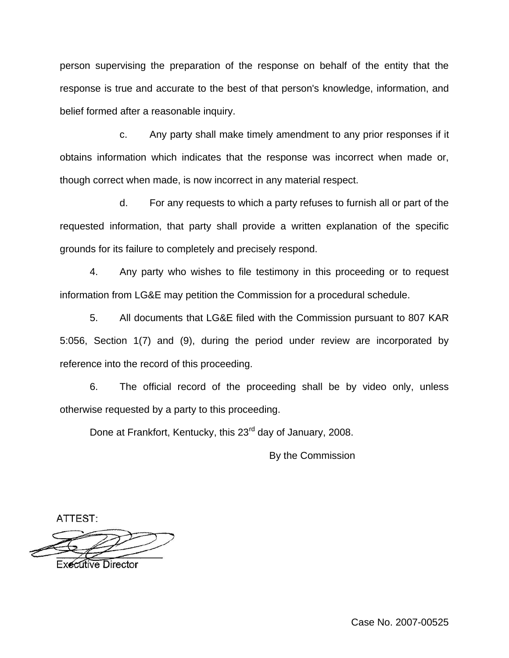person supervising the preparation of the response on behalf of the entity that the response is true and accurate to the best of that person's knowledge, information, and belief formed after a reasonable inquiry.

c. Any party shall make timely amendment to any prior responses if it obtains information which indicates that the response was incorrect when made or, though correct when made, is now incorrect in any material respect.

d. For any requests to which a party refuses to furnish all or part of the requested information, that party shall provide a written explanation of the specific grounds for its failure to completely and precisely respond.

4. Any party who wishes to file testimony in this proceeding or to request information from LG&E may petition the Commission for a procedural schedule.

5. All documents that LG&E filed with the Commission pursuant to 807 KAR 5:056, Section 1(7) and (9), during the period under review are incorporated by reference into the record of this proceeding.

6. The official record of the proceeding shall be by video only, unless otherwise requested by a party to this proceeding.

Done at Frankfort, Kentucky, this 23<sup>rd</sup> day of January, 2008.

By the Commission

ATTEST:

**Executive Director** 

Case No. 2007-00525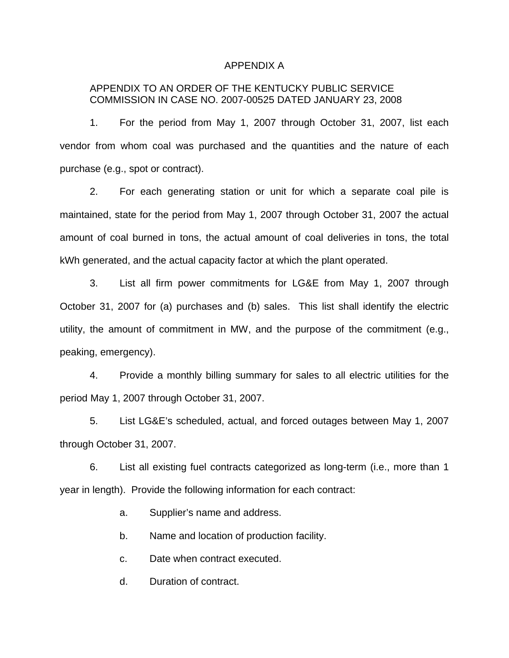#### APPENDIX A

# APPENDIX TO AN ORDER OF THE KENTUCKY PUBLIC SERVICE COMMISSION IN CASE NO. 2007-00525 DATED JANUARY 23, 2008

1. For the period from May 1, 2007 through October 31, 2007, list each vendor from whom coal was purchased and the quantities and the nature of each purchase (e.g., spot or contract).

2. For each generating station or unit for which a separate coal pile is maintained, state for the period from May 1, 2007 through October 31, 2007 the actual amount of coal burned in tons, the actual amount of coal deliveries in tons, the total kWh generated, and the actual capacity factor at which the plant operated.

3. List all firm power commitments for LG&E from May 1, 2007 through October 31, 2007 for (a) purchases and (b) sales. This list shall identify the electric utility, the amount of commitment in MW, and the purpose of the commitment (e.g., peaking, emergency).

4. Provide a monthly billing summary for sales to all electric utilities for the period May 1, 2007 through October 31, 2007.

5. List LG&E's scheduled, actual, and forced outages between May 1, 2007 through October 31, 2007.

6. List all existing fuel contracts categorized as long-term (i.e., more than 1 year in length). Provide the following information for each contract:

a. Supplier's name and address.

b. Name and location of production facility.

c. Date when contract executed.

d. Duration of contract.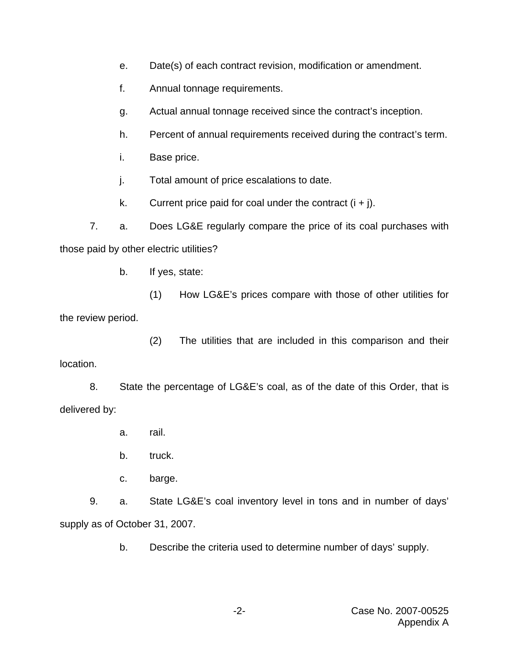- e. Date(s) of each contract revision, modification or amendment.
- f. Annual tonnage requirements.
- g. Actual annual tonnage received since the contract's inception.
- h. Percent of annual requirements received during the contract's term.
- i. Base price.
- j. Total amount of price escalations to date.
- k. Current price paid for coal under the contract  $(i + j)$ .

7. a. Does LG&E regularly compare the price of its coal purchases with those paid by other electric utilities?

b. If yes, state:

- (1) How LG&E's prices compare with those of other utilities for the review period.
- (2) The utilities that are included in this comparison and their location.

8. State the percentage of LG&E's coal, as of the date of this Order, that is delivered by:

- a. rail.
- b. truck.
- c. barge.

9. a. State LG&E's coal inventory level in tons and in number of days' supply as of October 31, 2007.

b. Describe the criteria used to determine number of days' supply.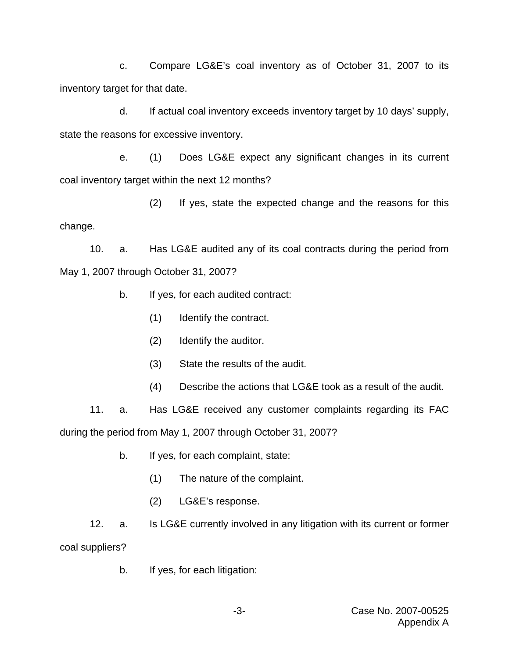c. Compare LG&E's coal inventory as of October 31, 2007 to its inventory target for that date.

d. If actual coal inventory exceeds inventory target by 10 days' supply, state the reasons for excessive inventory.

e. (1) Does LG&E expect any significant changes in its current coal inventory target within the next 12 months?

(2) If yes, state the expected change and the reasons for this change.

10. a. Has LG&E audited any of its coal contracts during the period from May 1, 2007 through October 31, 2007?

- b. If yes, for each audited contract:
	- (1) Identify the contract.
	- (2) Identify the auditor.
	- (3) State the results of the audit.
	- (4) Describe the actions that LG&E took as a result of the audit.

11. a. Has LG&E received any customer complaints regarding its FAC during the period from May 1, 2007 through October 31, 2007?

- b. If yes, for each complaint, state:
	- (1) The nature of the complaint.
	- (2) LG&E's response.

12. a. Is LG&E currently involved in any litigation with its current or former coal suppliers?

b. If yes, for each litigation: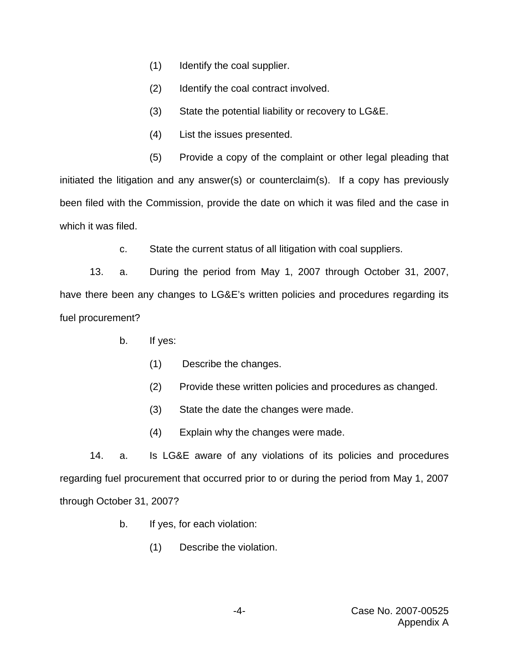- (1) Identify the coal supplier.
- (2) Identify the coal contract involved.
- (3) State the potential liability or recovery to LG&E.
- (4) List the issues presented.
- (5) Provide a copy of the complaint or other legal pleading that initiated the litigation and any answer(s) or counterclaim(s). If a copy has previously been filed with the Commission, provide the date on which it was filed and the case in which it was filed.
	- c. State the current status of all litigation with coal suppliers.

13. a. During the period from May 1, 2007 through October 31, 2007, have there been any changes to LG&E's written policies and procedures regarding its fuel procurement?

- b. If yes:
	- (1) Describe the changes.
	- (2) Provide these written policies and procedures as changed.
	- (3) State the date the changes were made.
	- (4) Explain why the changes were made.

14. a. Is LG&E aware of any violations of its policies and procedures regarding fuel procurement that occurred prior to or during the period from May 1, 2007 through October 31, 2007?

- b. If yes, for each violation:
	- (1) Describe the violation.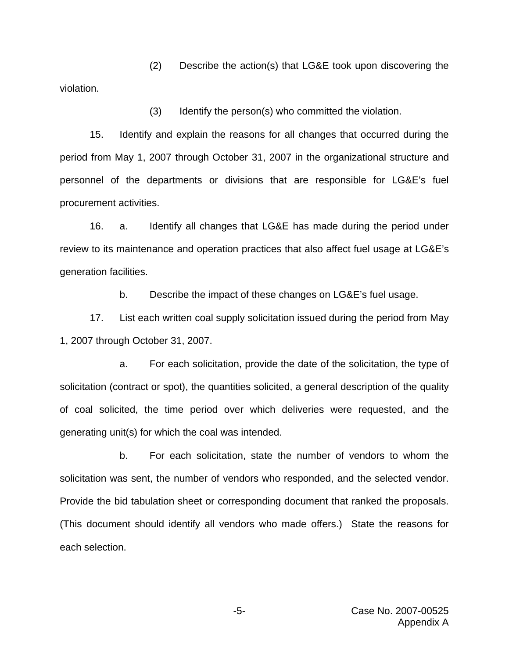(2) Describe the action(s) that LG&E took upon discovering the violation.

(3) Identify the person(s) who committed the violation.

15. Identify and explain the reasons for all changes that occurred during the period from May 1, 2007 through October 31, 2007 in the organizational structure and personnel of the departments or divisions that are responsible for LG&E's fuel procurement activities.

16. a. Identify all changes that LG&E has made during the period under review to its maintenance and operation practices that also affect fuel usage at LG&E's generation facilities.

b. Describe the impact of these changes on LG&E's fuel usage.

17. List each written coal supply solicitation issued during the period from May 1, 2007 through October 31, 2007.

a. For each solicitation, provide the date of the solicitation, the type of solicitation (contract or spot), the quantities solicited, a general description of the quality of coal solicited, the time period over which deliveries were requested, and the generating unit(s) for which the coal was intended.

b. For each solicitation, state the number of vendors to whom the solicitation was sent, the number of vendors who responded, and the selected vendor. Provide the bid tabulation sheet or corresponding document that ranked the proposals. (This document should identify all vendors who made offers.) State the reasons for each selection.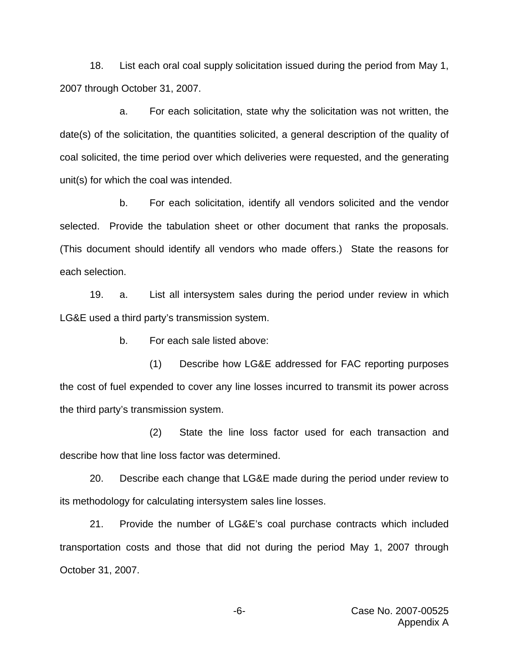18. List each oral coal supply solicitation issued during the period from May 1, 2007 through October 31, 2007.

a. For each solicitation, state why the solicitation was not written, the date(s) of the solicitation, the quantities solicited, a general description of the quality of coal solicited, the time period over which deliveries were requested, and the generating unit(s) for which the coal was intended.

b. For each solicitation, identify all vendors solicited and the vendor selected. Provide the tabulation sheet or other document that ranks the proposals. (This document should identify all vendors who made offers.) State the reasons for each selection.

19. a. List all intersystem sales during the period under review in which LG&E used a third party's transmission system.

b. For each sale listed above:

(1) Describe how LG&E addressed for FAC reporting purposes the cost of fuel expended to cover any line losses incurred to transmit its power across the third party's transmission system.

(2) State the line loss factor used for each transaction and describe how that line loss factor was determined.

20. Describe each change that LG&E made during the period under review to its methodology for calculating intersystem sales line losses.

21. Provide the number of LG&E's coal purchase contracts which included transportation costs and those that did not during the period May 1, 2007 through October 31, 2007.